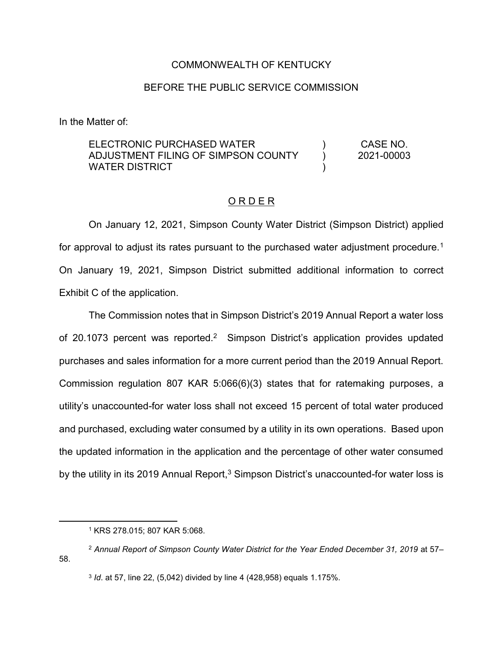#### COMMONWEALTH OF KENTUCKY

#### BEFORE THE PUBLIC SERVICE COMMISSION

In the Matter of:

ELECTRONIC PURCHASED WATER ADJUSTMENT FILING OF SIMPSON COUNTY WATER DISTRICT ) ) ) CASE NO. 2021-00003

#### O R D E R

On January 12, 2021, Simpson County Water District (Simpson District) applied for approval to adjust its rates pursuant to the purchased water adjustment procedure.<sup>1</sup> On January 19, 2021, Simpson District submitted additional information to correct Exhibit C of the application.

The Commission notes that in Simpson District's 2019 Annual Report a water loss of 20.1073 percent was reported.<sup>2</sup> Simpson District's application provides updated purchases and sales information for a more current period than the 2019 Annual Report. Commission regulation 807 KAR 5:066(6)(3) states that for ratemaking purposes, a utility's unaccounted-for water loss shall not exceed 15 percent of total water produced and purchased, excluding water consumed by a utility in its own operations. Based upon the updated information in the application and the percentage of other water consumed by the utility in its 2019 Annual Report,<sup>3</sup> Simpson District's unaccounted-for water loss is

 <sup>1</sup> KRS 278.015; 807 KAR 5:068.

<sup>2</sup> *Annual Report of Simpson County Water District for the Year Ended December 31, 2019* at 57– 58.

<sup>3</sup> *Id*. at 57, line 22, (5,042) divided by line 4 (428,958) equals 1.175%.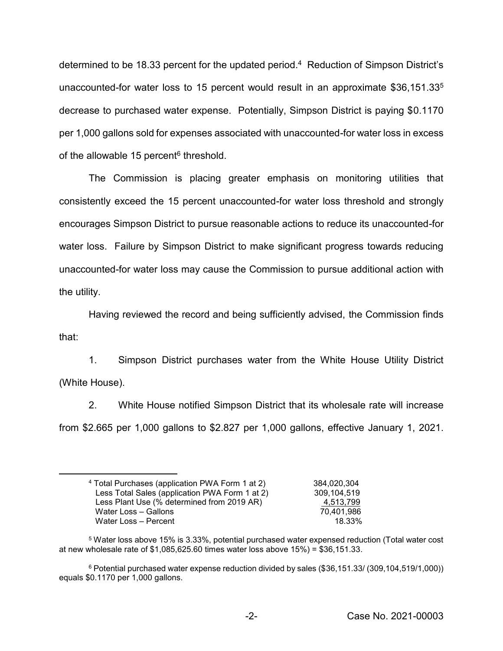determined to be 18.33 percent for the updated period.<sup>4</sup> Reduction of Simpson District's unaccounted-for water loss to 15 percent would result in an approximate \$36,151.335 decrease to purchased water expense. Potentially, Simpson District is paying \$0.1170 per 1,000 gallons sold for expenses associated with unaccounted-for water loss in excess of the allowable 15 percent $6$  threshold.

The Commission is placing greater emphasis on monitoring utilities that consistently exceed the 15 percent unaccounted-for water loss threshold and strongly encourages Simpson District to pursue reasonable actions to reduce its unaccounted-for water loss. Failure by Simpson District to make significant progress towards reducing unaccounted-for water loss may cause the Commission to pursue additional action with the utility.

Having reviewed the record and being sufficiently advised, the Commission finds that:

1. Simpson District purchases water from the White House Utility District (White House).

2. White House notified Simpson District that its wholesale rate will increase from \$2.665 per 1,000 gallons to \$2.827 per 1,000 gallons, effective January 1, 2021.

 <sup>4</sup> Total Purchases (application PWA Form 1 at 2) 384,020,304 Less Total Sales (application PWA Form 1 at 2) 309,104,519 Less Plant Use (% determined from 2019 AR) 4,513,799 Water Loss – Gallons 70,401,986 Water Loss – Percent 2008 and 2008 and 2009 and 2008 and 2009 and 2008 and 2009 and 2008 and 2009 and 2008 and 2009 and 2009 and 2009 and 2009 and 2009 and 2009 and 2009 and 2009 and 2009 and 2009 and 2009 and 2009 and 200

<sup>5</sup> Water loss above 15% is 3.33%, potential purchased water expensed reduction (Total water cost at new wholesale rate of \$1,085,625.60 times water loss above 15%) = \$36,151.33.

<sup>6</sup> Potential purchased water expense reduction divided by sales (\$36,151.33/ (309,104,519/1,000)) equals \$0.1170 per 1,000 gallons.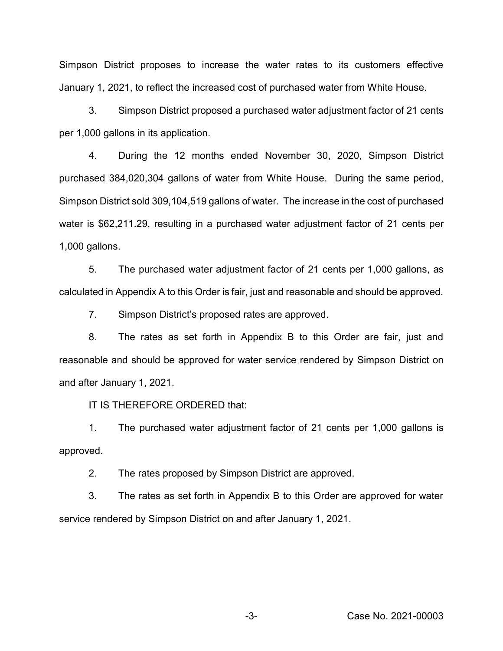Simpson District proposes to increase the water rates to its customers effective January 1, 2021, to reflect the increased cost of purchased water from White House.

3. Simpson District proposed a purchased water adjustment factor of 21 cents per 1,000 gallons in its application.

4. During the 12 months ended November 30, 2020, Simpson District purchased 384,020,304 gallons of water from White House. During the same period, Simpson District sold 309,104,519 gallons of water. The increase in the cost of purchased water is \$62,211.29, resulting in a purchased water adjustment factor of 21 cents per 1,000 gallons.

5. The purchased water adjustment factor of 21 cents per 1,000 gallons, as calculated in Appendix A to this Order is fair, just and reasonable and should be approved.

7. Simpson District's proposed rates are approved.

8. The rates as set forth in Appendix B to this Order are fair, just and reasonable and should be approved for water service rendered by Simpson District on and after January 1, 2021.

IT IS THEREFORE ORDERED that:

1. The purchased water adjustment factor of 21 cents per 1,000 gallons is approved.

2. The rates proposed by Simpson District are approved.

3. The rates as set forth in Appendix B to this Order are approved for water service rendered by Simpson District on and after January 1, 2021.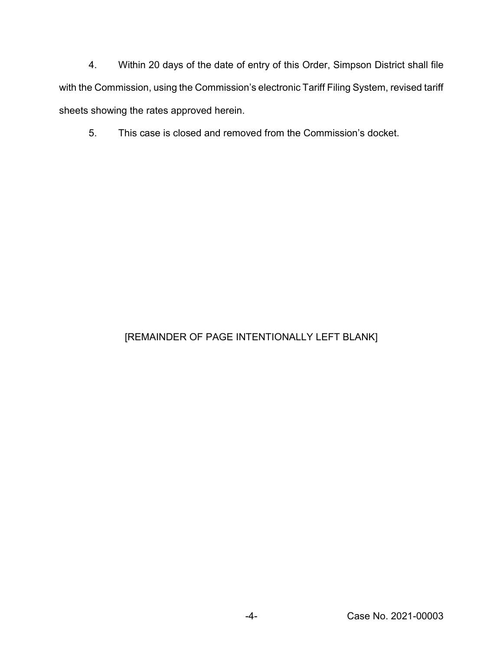4. Within 20 days of the date of entry of this Order, Simpson District shall file with the Commission, using the Commission's electronic Tariff Filing System, revised tariff sheets showing the rates approved herein.

5. This case is closed and removed from the Commission's docket.

# [REMAINDER OF PAGE INTENTIONALLY LEFT BLANK]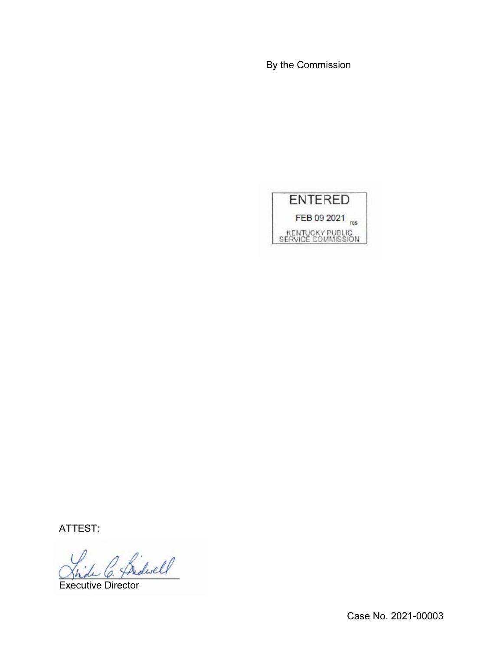By the Commission



ATTEST:

2 friderell

Executive Director

Case No. 2021-00003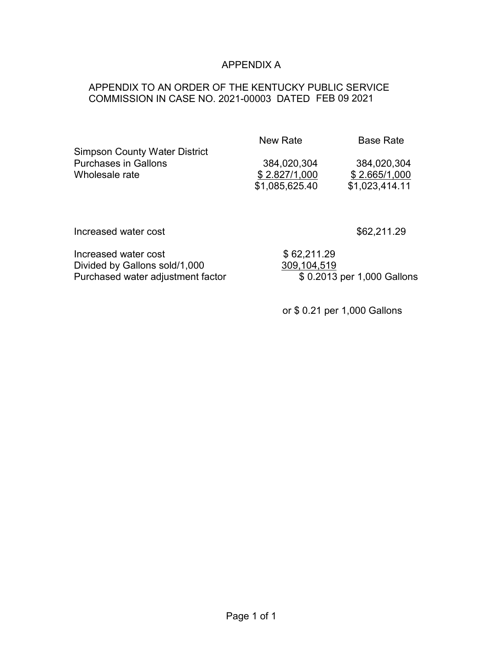## APPENDIX A

## APPENDIX TO AN ORDER OF THE KENTUCKY PUBLIC SERVICE COMMISSION IN CASE NO. 2021-00003 DATED FEB 09 2021

| New Rate       | <b>Base Rate</b> |
|----------------|------------------|
|                |                  |
| 384,020,304    | 384,020,304      |
| \$2.827/1,000  | \$2.665/1,000    |
| \$1,085,625.40 | \$1,023,414.11   |
|                |                  |

Increased water cost \$62,211.29

| Increased water cost              | \$62,211.29                |
|-----------------------------------|----------------------------|
| Divided by Gallons sold/1,000     | 309,104,519                |
| Purchased water adjustment factor | \$0.2013 per 1,000 Gallons |

or \$ 0.21 per 1,000 Gallons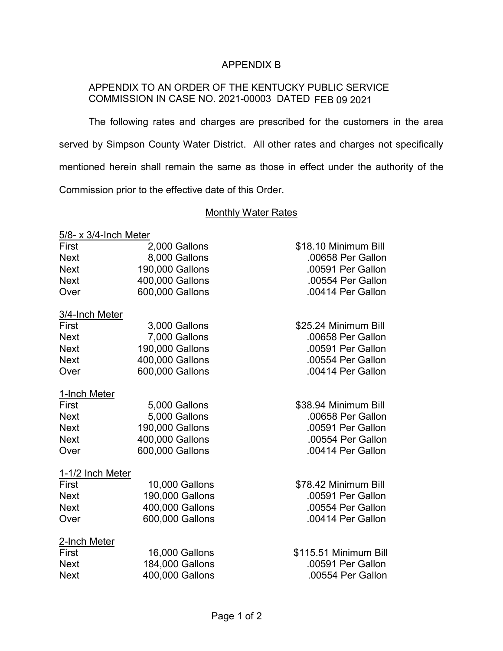### APPENDIX B

## APPENDIX TO AN ORDER OF THE KENTUCKY PUBLIC SERVICE COMMISSION IN CASE NO. 2021-00003 DATED FEB 09 2021

The following rates and charges are prescribed for the customers in the area served by Simpson County Water District. All other rates and charges not specifically mentioned herein shall remain the same as those in effect under the authority of the Commission prior to the effective date of this Order.

#### **Monthly Water Rates**

## 5/8- x 3/4-Inch Meter First 2,000 Gallons \$18.10 Minimum Bill Next 8,000 Gallons .00658 Per Gallon Next 190,000 Gallons .00591 Per Gallon Next 400,000 Gallons .00554 Per Gallon Over 600,000 Gallons .00414 Per Gallon 3/4-Inch Meter First 3,000 Gallons \$25.24 Minimum Bill Next 7,000 Gallons .00658 Per Gallon

| <b>Next</b>      | 190,000 Gallons | .00591 Per Gallon    |
|------------------|-----------------|----------------------|
| <b>Next</b>      | 400,000 Gallons | .00554 Per Gallon    |
| Over             | 600,000 Gallons | .00414 Per Gallon    |
| 1-Inch Meter     |                 |                      |
| First            | 5,000 Gallons   | \$38.94 Minimum Bill |
| <b>Next</b>      | 5,000 Gallons   | .00658 Per Gallon    |
| <b>Next</b>      | 190,000 Gallons | .00591 Per Gallon    |
| <b>Next</b>      | 400,000 Gallons | .00554 Per Gallon    |
| Over             | 600,000 Gallons | .00414 Per Gallon    |
| 1-1/2 Inch Meter |                 |                      |

| First        | 10,000 Gallons        | \$78.42 Minimum Bill  |
|--------------|-----------------------|-----------------------|
| <b>Next</b>  | 190,000 Gallons       | .00591 Per Gallon     |
| <b>Next</b>  | 400,000 Gallons       | .00554 Per Gallon     |
| Over         | 600,000 Gallons       | .00414 Per Gallon     |
| 2-Inch Meter |                       |                       |
| First        | <b>16,000 Gallons</b> | \$115.51 Minimum Bill |
| <b>Next</b>  | 184,000 Gallons       | .00591 Per Gallon     |
| <b>Next</b>  | 400,000 Gallons       | .00554 Per Gallon     |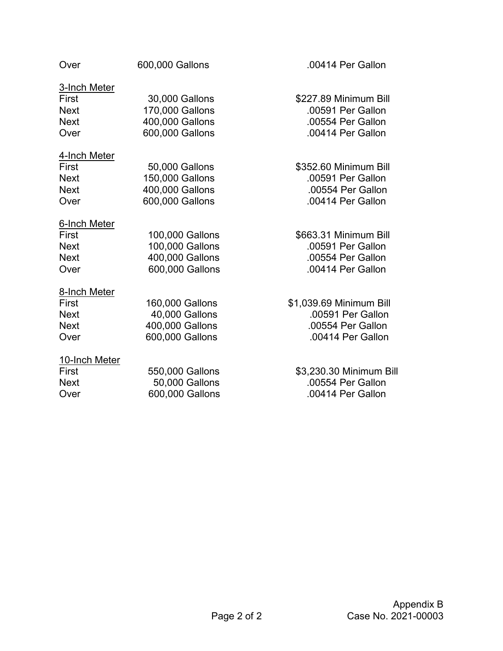| Over          | 600,000 Gallons | .00414 Per Gallon       |
|---------------|-----------------|-------------------------|
| 3-Inch Meter  |                 |                         |
| First         | 30,000 Gallons  | \$227.89 Minimum Bill   |
| <b>Next</b>   | 170,000 Gallons | .00591 Per Gallon       |
| <b>Next</b>   | 400,000 Gallons | .00554 Per Gallon       |
| Over          | 600,000 Gallons | .00414 Per Gallon       |
| 4-Inch Meter  |                 |                         |
| First         | 50,000 Gallons  | \$352.60 Minimum Bill   |
| <b>Next</b>   | 150,000 Gallons | .00591 Per Gallon       |
| <b>Next</b>   | 400,000 Gallons | .00554 Per Gallon       |
| Over          | 600,000 Gallons | .00414 Per Gallon       |
| 6-Inch Meter  |                 |                         |
| First         | 100,000 Gallons | \$663.31 Minimum Bill   |
| <b>Next</b>   | 100,000 Gallons | .00591 Per Gallon       |
| <b>Next</b>   | 400,000 Gallons | .00554 Per Gallon       |
| Over          | 600,000 Gallons | .00414 Per Gallon       |
| 8-Inch Meter  |                 |                         |
| First         | 160,000 Gallons | \$1,039.69 Minimum Bill |
| <b>Next</b>   | 40,000 Gallons  | .00591 Per Gallon       |
| <b>Next</b>   | 400,000 Gallons | .00554 Per Gallon       |
| Over          | 600,000 Gallons | .00414 Per Gallon       |
| 10-Inch Meter |                 |                         |
| First         | 550,000 Gallons | \$3,230.30 Minimum Bill |
| <b>Next</b>   | 50,000 Gallons  | .00554 Per Gallon       |
| Over          | 600,000 Gallons | .00414 Per Gallon       |